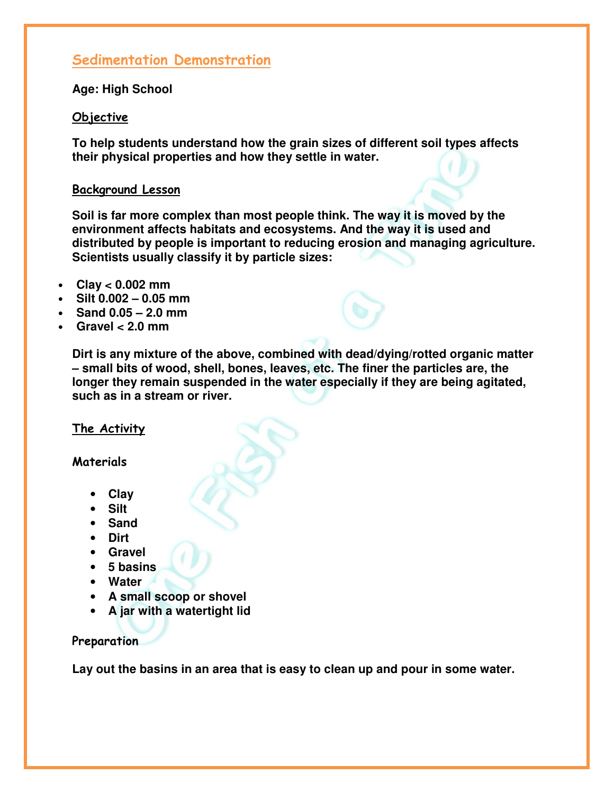# Sedimentation Demonstration

**Age: High School** 

#### Objective

**To help students understand how the grain sizes of different soil types affects their physical properties and how they settle in water.**

#### Background Lesson

**Soil is far more complex than most people think. The way it is moved by the environment affects habitats and ecosystems. And the way it is used and distributed by people is important to reducing erosion and managing agriculture. Scientists usually classify it by particle sizes:**

- **Clay < 0.002 mm**
- **Silt 0.002 0.05 mm**
- **Sand 0.05 2.0 mm**
- **Gravel < 2.0 mm**

**Dirt is any mixture of the above, combined with dead/dying/rotted organic matter – small bits of wood, shell, bones, leaves, etc. The finer the particles are, the longer they remain suspended in the water especially if they are being agitated, such as in a stream or river.**

## The Activity

#### Materials

- **Clay**
- **Silt**
- **Sand**
- **Dirt**
- **Gravel**
- **5 basins**
- **Water**
- **A small scoop or shovel**
- **A jar with a watertight lid**

## **Preparation**

**Lay out the basins in an area that is easy to clean up and pour in some water.**